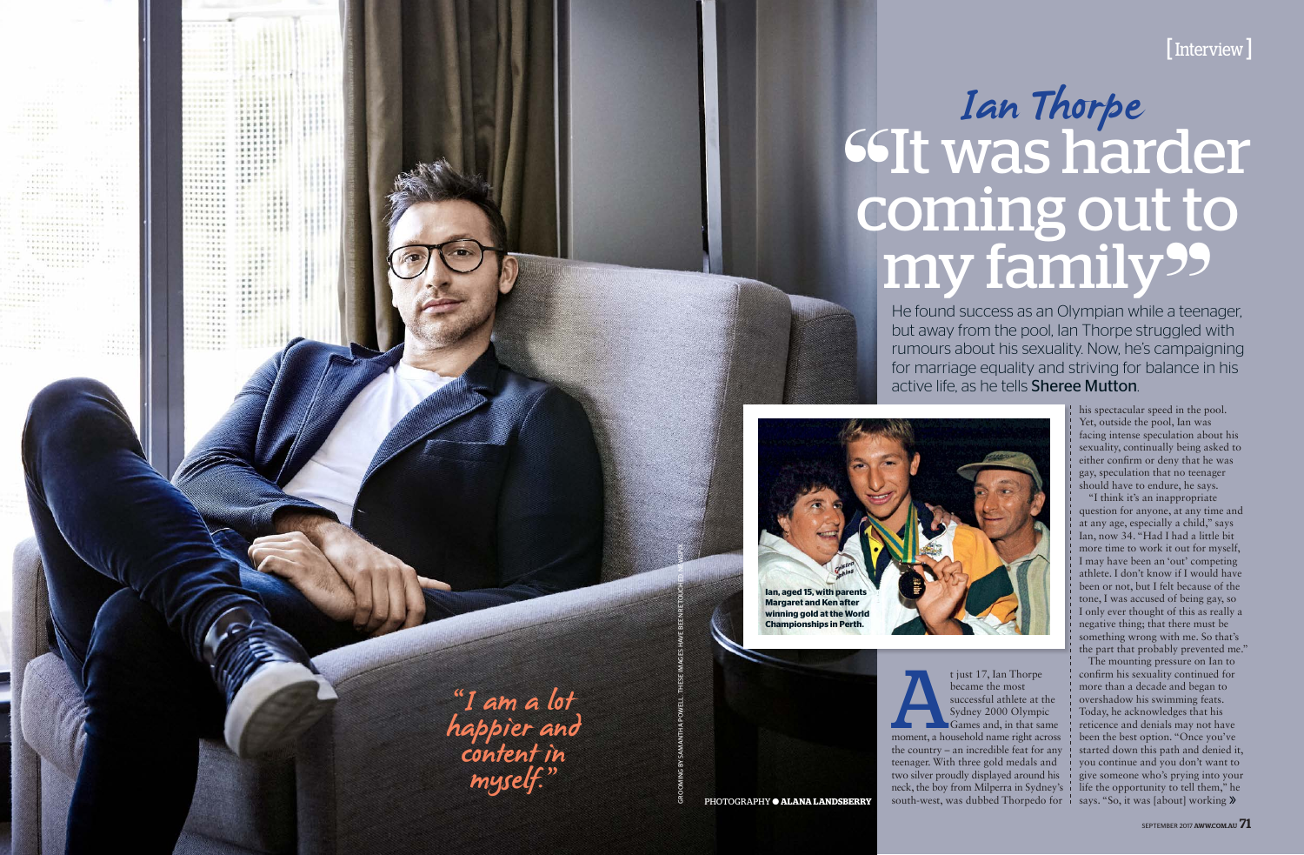GROOMING BY SAMANTHA POWELL. THESE IMAGES HAVE BEEN RETOUCHED. NEWSPIX.

t just 17, Ian Thorpe<br>
became the most<br>
successful athlete at the<br>
Sydney 2000 Olympic<br>
Games and, in that same<br>
moment, a household name right across became the most successful athlete at the Sydney 2000 Olympic Games and, in that same the country – an incredible feat for any teenager. With three gold medals and two silver proudly displayed around his neck, the boy from Milperra in Sydney's south-west, was dubbed Thorpedo for **i** says. "So, it was [about] working **»** 

## <sup>66</sup>It was harder coming out to my family<sup>99</sup> Ian Thorpe

He found success as an Olympian while a teenager, but away from the pool, Ian Thorpe struggled with rumours about his sexuality. Now, he's campaigning for marriage equality and striving for balance in his active life, as he tells Sheree Mutton.

PHOTOGRAPHY ● **ALANA LANDSBERRY**



"I am a lot happier and content in myself."

 $111111$ ...... **TTTTTT** . . . . . . . .<br>. . . . . . . .<br>. . . . . . . . . . . . .  $111111$  $.........$  $2.4.4.$ in a su  $\frac{1}{1}$ 

> Artist Mar **Address**  $9.9.9.2$  $1.11$

## [Interview]

his spectacular speed in the pool. Yet, outside the pool, Ian was facing intense speculation about his sexuality, continually being asked to either confirm or deny that he was gay, speculation that no teenager should have to endure, he says.

"I think it's an inappropriate question for anyone, at any time and at any age, especially a child," says Ian, now 34. "Had I had a little bit more time to work it out for myself, I may have been an 'out' competing athlete. I don't know if I would have been or not, but I felt because of the tone, I was accused of being gay, so I only ever thought of this as really a negative thing; that there must be something wrong with me. So that's the part that probably prevented me."

The mounting pressure on Ian to confirm his sexuality continued for more than a decade and began to overshadow his swimming feats. Today, he acknowledges that his reticence and denials may not have been the best option. "Once you've started down this path and denied it, you continue and you don't want to give someone who's prying into your life the opportunity to tell them," he